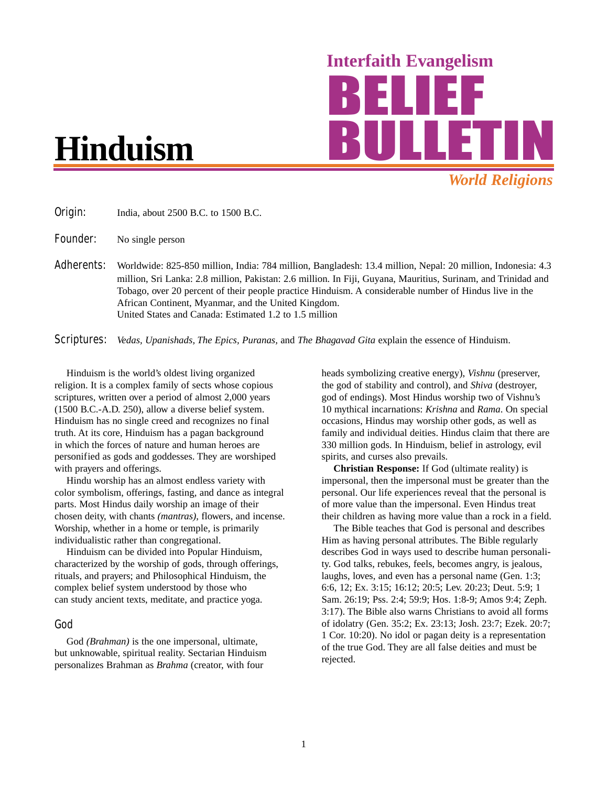# **Hinduism**

Interfaith Evangelism *World Religions*

**Origin:** India, about 2500 B.C. to 1500 B.C.

**Founder:** No single person

Adherents: Worldwide: 825-850 million, India: 784 million, Bangladesh: 13.4 million, Nepal: 20 million, Indonesia: 4.3 million, Sri Lanka: 2.8 million, Pakistan: 2.6 million. In Fiji, Guyana, Mauritius, Surinam, and Trinidad and Tobago, over 20 percent of their people practice Hinduism. A considerable number of Hindus live in the African Continent, Myanmar, and the United Kingdom. United States and Canada: Estimated 1.2 to 1.5 million

Scriptures: *Vedas, Upanishads, The Epics, Puranas,* and *The Bhagavad Gita* explain the essence of Hinduism.

Hinduism is the world's oldest living organized religion. It is a complex family of sects whose copious scriptures, written over a period of almost 2,000 years (1500 B.C.-A.D. 250), allow a diverse belief system. Hinduism has no single creed and recognizes no final truth. At its core, Hinduism has a pagan background in which the forces of nature and human heroes are personified as gods and goddesses. They are worshiped with prayers and offerings.

Hindu worship has an almost endless variety with color symbolism, offerings, fasting, and dance as integral parts. Most Hindus daily worship an image of their chosen deity, with chants *(mantras)*, flowers, and incense. Worship, whether in a home or temple, is primarily individualistic rather than congregational.

Hinduism can be divided into Popular Hinduism, characterized by the worship of gods, through offerings, rituals, and prayers; and Philosophical Hinduism, the complex belief system understood by those who can study ancient texts, meditate, and practice yoga.

#### God

God *(Brahman)* is the one impersonal, ultimate, but unknowable, spiritual reality. Sectarian Hinduism personalizes Brahman as *Brahma* (creator, with four

heads symbolizing creative energy), *Vishnu* (preserver, the god of stability and control), and *Shiva* (destroyer, god of endings). Most Hindus worship two of Vishnu's 10 mythical incarnations: *Krishna* and *Rama*. On special occasions, Hindus may worship other gods, as well as family and individual deities. Hindus claim that there are 330 million gods. In Hinduism, belief in astrology, evil spirits, and curses also prevails.

**Christian Response:** If God (ultimate reality) is impersonal, then the impersonal must be greater than the personal. Our life experiences reveal that the personal is of more value than the impersonal. Even Hindus treat their children as having more value than a rock in a field.

The Bible teaches that God is personal and describes Him as having personal attributes. The Bible regularly describes God in ways used to describe human personality. God talks, rebukes, feels, becomes angry, is jealous, laughs, loves, and even has a personal name (Gen. 1:3; 6:6, 12; Ex. 3:15; 16:12; 20:5; Lev. 20:23; Deut. 5:9; 1 Sam. 26:19; Pss. 2:4; 59:9; Hos. 1:8-9; Amos 9:4; Zeph. 3:17). The Bible also warns Christians to avoid all forms of idolatry (Gen. 35:2; Ex. 23:13; Josh. 23:7; Ezek. 20:7; 1 Cor. 10:20). No idol or pagan deity is a representation of the true God. They are all false deities and must be rejected.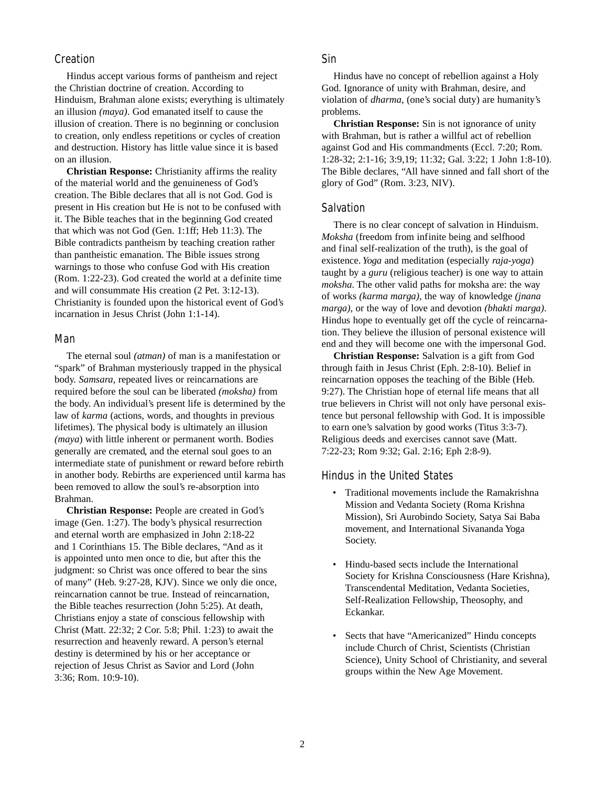### **Creation**

Hindus accept various forms of pantheism and reject the Christian doctrine of creation. According to Hinduism, Brahman alone exists; everything is ultimately an illusion *(maya)*. God emanated itself to cause the illusion of creation. There is no beginning or conclusion to creation, only endless repetitions or cycles of creation and destruction. History has little value since it is based on an illusion.

**Christian Response:** Christianity affirms the reality of the material world and the genuineness of God's creation. The Bible declares that all is not God. God is present in His creation but He is not to be confused with it. The Bible teaches that in the beginning God created that which was not God (Gen. 1:1ff; Heb 11:3). The Bible contradicts pantheism by teaching creation rather than pantheistic emanation. The Bible issues strong warnings to those who confuse God with His creation (Rom. 1:22-23). God created the world at a definite time and will consummate His creation (2 Pet. 3:12-13). Christianity is founded upon the historical event of God's incarnation in Jesus Christ (John 1:1-14).

#### Man

The eternal soul *(atman)* of man is a manifestation or "spark" of Brahman mysteriously trapped in the physical body. *Samsara,* repeated lives or reincarnations are required before the soul can be liberated *(moksha)* from the body. An individual's present life is determined by the law of *karma* (actions, words, and thoughts in previous lifetimes). The physical body is ultimately an illusion *(maya*) with little inherent or permanent worth. Bodies generally are cremated, and the eternal soul goes to an intermediate state of punishment or reward before rebirth in another body. Rebirths are experienced until karma has been removed to allow the soul's re-absorption into Brahman.

**Christian Response:** People are created in God's image (Gen. 1:27). The body's physical resurrection and eternal worth are emphasized in John 2:18-22 and 1 Corinthians 15. The Bible declares, "And as it is appointed unto men once to die, but after this the judgment: so Christ was once offered to bear the sins of many" (Heb. 9:27-28, KJV). Since we only die once, reincarnation cannot be true. Instead of reincarnation, the Bible teaches resurrection (John 5:25). At death, Christians enjoy a state of conscious fellowship with Christ (Matt. 22:32; 2 Cor. 5:8; Phil. 1:23) to await the resurrection and heavenly reward. A person's eternal destiny is determined by his or her acceptance or rejection of Jesus Christ as Savior and Lord (John 3:36; Rom. 10:9-10).

# Sin

Hindus have no concept of rebellion against a Holy God. Ignorance of unity with Brahman, desire, and violation of *dharma*, (one's social duty) are humanity's problems.

**Christian Response:** Sin is not ignorance of unity with Brahman, but is rather a willful act of rebellion against God and His commandments (Eccl. 7:20; Rom. 1:28-32; 2:1-16; 3:9,19; 11:32; Gal. 3:22; 1 John 1:8-10). The Bible declares, "All have sinned and fall short of the glory of God" (Rom. 3:23, NIV).

#### **Salvation**

There is no clear concept of salvation in Hinduism. *Moksha* (freedom from infinite being and selfhood and final self-realization of the truth), is the goal of existence. *Yoga* and meditation (especially *raja-yoga*) taught by a *guru* (religious teacher) is one way to attain *moksha*. The other valid paths for moksha are: the way of works *(karma marga)*, the way of knowledge *(jnana marga)*, or the way of love and devotion *(bhakti marga)*. Hindus hope to eventually get off the cycle of reincarnation. They believe the illusion of personal existence will end and they will become one with the impersonal God.

**Christian Response:** Salvation is a gift from God through faith in Jesus Christ (Eph. 2:8-10). Belief in reincarnation opposes the teaching of the Bible (Heb. 9:27). The Christian hope of eternal life means that all true believers in Christ will not only have personal existence but personal fellowship with God. It is impossible to earn one's salvation by good works (Titus 3:3-7). Religious deeds and exercises cannot save (Matt. 7:22-23; Rom 9:32; Gal. 2:16; Eph 2:8-9).

# Hindus in the United States

- Traditional movements include the Ramakrishna Mission and Vedanta Society (Roma Krishna Mission), Sri Aurobindo Society, Satya Sai Baba movement, and International Sivananda Yoga Society.
- Hindu-based sects include the International Society for Krishna Consciousness (Hare Krishna), Transcendental Meditation, Vedanta Societies, Self-Realization Fellowship, Theosophy, and Eckankar.
- Sects that have "Americanized" Hindu concepts include Church of Christ, Scientists (Christian Science), Unity School of Christianity, and several groups within the New Age Movement.